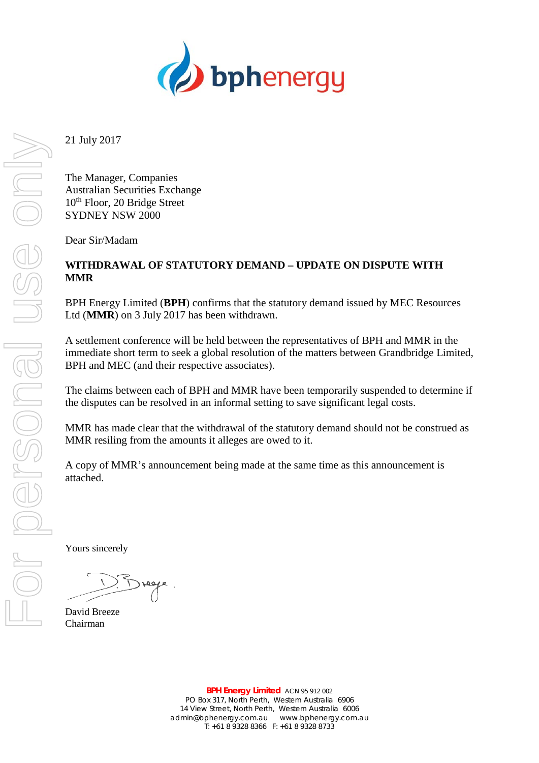

21 July 2017

The Manager, Companies Australian Securities Exchange 10<sup>th</sup> Floor, 20 Bridge Street SYDNEY NSW 2000

Dear Sir/Madam

## **WITHDRAWAL OF STATUTORY DEMAND – UPDATE ON DISPUTE WITH MMR**

BPH Energy Limited (**BPH**) confirms that the statutory demand issued by MEC Resources Ltd (**MMR**) on 3 July 2017 has been withdrawn.

A settlement conference will be held between the representatives of BPH and MMR in the immediate short term to seek a global resolution of the matters between Grandbridge Limited, BPH and MEC (and their respective associates).

The claims between each of BPH and MMR have been temporarily suspended to determine if the disputes can be resolved in an informal setting to save significant legal costs.

MMR has made clear that the withdrawal of the statutory demand should not be construed as MMR resiling from the amounts it alleges are owed to it.

A copy of MMR's announcement being made at the same time as this announcement is attached.

Yours sincerely

David Breeze Chairman